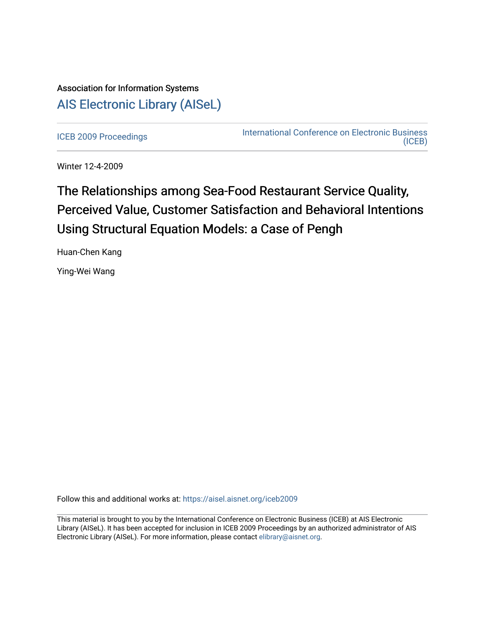## Association for Information Systems [AIS Electronic Library \(AISeL\)](https://aisel.aisnet.org/)

[ICEB 2009 Proceedings](https://aisel.aisnet.org/iceb2009) **International Conference on Electronic Business** [\(ICEB\)](https://aisel.aisnet.org/iceb) 

Winter 12-4-2009

# The Relationships among Sea-Food Restaurant Service Quality, Perceived Value, Customer Satisfaction and Behavioral Intentions Using Structural Equation Models: a Case of Pengh

Huan-Chen Kang

Ying-Wei Wang

Follow this and additional works at: [https://aisel.aisnet.org/iceb2009](https://aisel.aisnet.org/iceb2009?utm_source=aisel.aisnet.org%2Ficeb2009%2F79&utm_medium=PDF&utm_campaign=PDFCoverPages)

This material is brought to you by the International Conference on Electronic Business (ICEB) at AIS Electronic Library (AISeL). It has been accepted for inclusion in ICEB 2009 Proceedings by an authorized administrator of AIS Electronic Library (AISeL). For more information, please contact [elibrary@aisnet.org.](mailto:elibrary@aisnet.org%3E)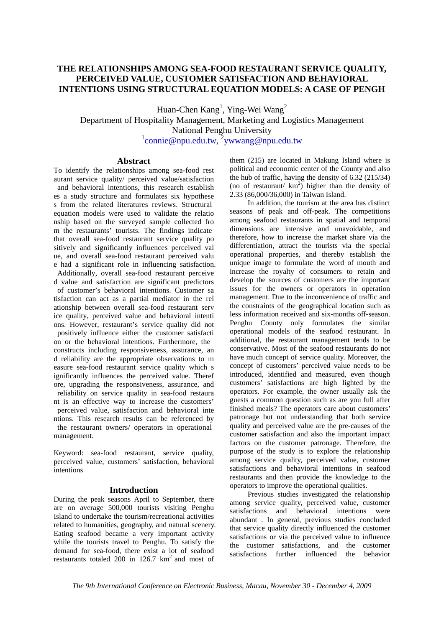### **THE RELATIONSHIPS AMONG SEA-FOOD RESTAURANT SERVICE QUALITY, PERCEIVED VALUE, CUSTOMER SATISFACTION AND BEHAVIORAL INTENTIONS USING STRUCTURAL EQUATION MODELS: A CASE OF PENGH**

Huan-Chen Kang<sup>1</sup>, Ying-Wei Wang<sup>2</sup> Department of Hospitality Management, Marketing and Logistics Management National Penghu University <sup>1</sup>connie@npu.edu.tw, <sup>2</sup>ywwang@npu.edu.tw

#### **Abstract**

To identify the relationships among sea-food rest aurant service quality/ perceived value/satisfaction and behavioral intentions, this research establish es a study structure and formulates six hypothese s from the related literatures reviews. Structural equation models were used to validate the relatio nship based on the surveyed sample collected fro m the restaurants' tourists. The findings indicate that overall sea-food restaurant service quality po sitively and significantly influences perceived val ue, and overall sea-food restaurant perceived valu e had a significant role in influencing satisfaction. Additionally, overall sea-food restaurant perceive d value and satisfaction are significant predictors of customer's behavioral intentions. Customer sa tisfaction can act as a partial mediator in the rel ationship between overall sea-food restaurant serv ice quality, perceived value and behavioral intenti ons. However, restaurant's service quality did not positively influence either the customer satisfacti on or the behavioral intentions. Furthermore, the constructs including responsiveness, assurance, an d reliability are the appropriate observations to m easure sea-food restaurant service quality which s ignificantly influences the perceived value. Theref ore, upgrading the responsiveness, assurance, and reliability on service quality in sea-food restaura nt is an effective way to increase the customers' perceived value, satisfaction and behavioral inte ntions. This research results can be referenced by the restaurant owners/ operators in operational management.

Keyword: sea-food restaurant, service quality, perceived value, customers' satisfaction, behavioral intentions

#### **Introduction**

During the peak seasons April to September, there are on average 500,000 tourists visiting Penghu Island to undertake the tourism/recreational activities related to humanities, geography, and natural scenery. Eating seafood became a very important activity while the tourists travel to Penghu. To satisfy the demand for sea-food, there exist a lot of seafood restaurants totaled 200 in  $126.7 \text{ km}^2$  and most of

them (215) are located in Makung Island where is political and economic center of the County and also the hub of traffic, having the density of 6.32 (215/34) (no of restaurant/ $km^2$ ) higher than the density of 2.33 (86,000/36,000) in Taiwan Island.

In addition, the tourism at the area has distinct seasons of peak and off-peak. The competitions among seafood restaurants in spatial and temporal dimensions are intensive and unavoidable, and therefore, how to increase the market share via the differentiation, attract the tourists via the special operational properties, and thereby establish the unique image to formulate the word of mouth and increase the royalty of consumers to retain and develop the sources of customers are the important issues for the owners or operators in operation management. Due to the inconvenience of traffic and the constraints of the geographical location such as less information received and six-months off-season. Penghu County only formulates the similar operational models of the seafood restaurant. In additional, the restaurant management tends to be conservative. Most of the seafood restaurants do not have much concept of service quality. Moreover, the concept of customers' perceived value needs to be introduced, identified and measured, even though customers' satisfactions are high lighted by the operators. For example, the owner usually ask the guests a common question such as are you full after finished meals? The operators care about customers' patronage but not understanding that both service quality and perceived value are the pre-causes of the customer satisfaction and also the important impact factors on the customer patronage. Therefore, the purpose of the study is to explore the relationship among service quality, perceived value, customer satisfactions and behavioral intentions in seafood restaurants and then provide the knowledge to the operators to improve the operational qualities.

 Previous studies investigated the relationship among service quality, perceived value, customer satisfactions and behavioral intentions were abundant . In general, previous studies concluded that service quality directly influenced the customer satisfactions or via the perceived value to influence the customer satisfactions, and the customer<br>satisfactions further influenced the behavior satisfactions further influenced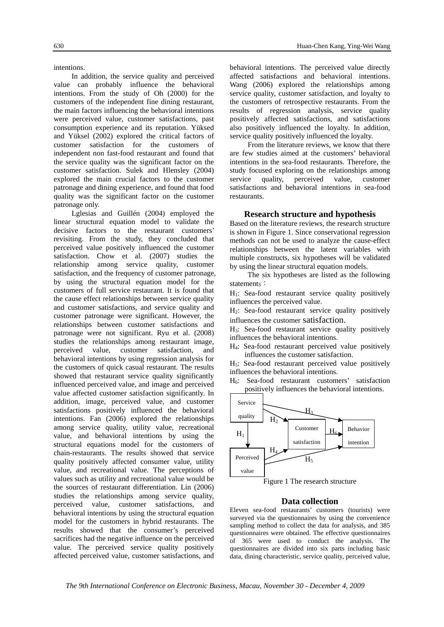intentions.

 In addition, the service quality and perceived value can probably influence the behavioral intentions. From the study of Oh (2000) for the customers of the independent fine dining restaurant, the main factors influencing the behavioral intentions were perceived value, customer satisfactions, past consumption experience and its reputation. Yüksed and Yüksel (2002) explored the critical factors of customer satisfaction for the customers of independent non fast-food restaurant and found that the service quality was the significant factor on the customer satisfaction. Sulek and Hlensley (2004) explored the main crucial factors to the customer patronage and dining experience, and found that food quality was the significant factor on the customer patronage only.

 Lglesias and Guillén (2004) employed the linear structural equation model to validate the decisive factors to the restaurant customers' revisiting. From the study, they concluded that perceived value positively influenced the customer satisfaction. Chow et al. (2007) studies the relationship among service quality, customer satisfaction, and the frequency of customer patronage, by using the structural equation model for the customers of full service restaurant. It is found that the cause effect relationships between service quality and customer satisfactions, and service quality and customer patronage were significant. However, the relationships between customer satisfactions and patronage were not significant. Ryu et al. (2008) studies the relationships among restaurant image, perceived value, customer satisfaction, and behavioral intentions by using regression analysis for the customers of quick casual restaurant. The results showed that restaurant service quality significantly influenced perceived value, and image and perceived value affected customer satisfaction significantly. In addition, image, perceived value, and customer satisfactions positively influenced the behavioral intentions. Fan (2006) explored the relationships among service quality, utility value, recreational value, and behavioral intentions by using the structural equations model for the customers of chain-restaurants. The results showed that service quality positively affected consumer value, utility value, and recreational value. The perceptions of values such as utility and recreational value would be the sources of restaurant differentiation. Lin (2006) studies the relationships among service quality, perceived value, customer satisfactions, and behavioral intentions by using the structural equation model for the customers in hybrid restaurants. The results showed that the consumer's perceived sacrifices had the negative influence on the perceived value. The perceived service quality positively affected perceived value, customer satisfactions, and

behavioral intentions. The perceived value directly affected satisfactions and behavioral intentions. Wang (2006) explored the relationships among service quality, customer satisfaction, and loyalty to the customers of retrospective restaurants. From the results of regression analysis, service quality positively affected satisfactions, and satisfactions also positively influenced the loyalty. In addition, service quality positively influenced the loyalty.

From the literature reviews, we know that there are few studies aimed at the customers' behavioral intentions in the sea-food restaurants. Therefore, the study focused exploring on the relationships among service quality, perceived value, customer satisfactions and behavioral intentions in sea-food restaurants.

#### **Research structure and hypothesis**

Based on the literature reviews, the research structure is shown in Figure 1. Since conservational regression methods can not be used to analyze the cause-effect relationships between the latent variables with multiple constructs, six hypotheses will be validated by using the linear structural equation models.

 The six hypotheses are listed as the following statements:

H<sub>1</sub>: Sea-food restaurant service quality positively influences the perceived value.

H2: Sea-food restaurant service quality positively influences the customer satisfaction.

H3: Sea-food restaurant service quality positively influences the behavioral intentions.

H4: Sea-food restaurant perceived value positively influences the customer satisfaction.

 $H_5$ : Sea-food restaurant perceived value positively influences the behavioral intentions.

H6: Sea-food restaurant customers' satisfaction positively influences the behavioral intentions.



Figure 1 The research structure

#### **Data collection**

Eleven sea-food restaurants' customers (tourists) were surveyed via the questionnaires by using the convenience sampling method to collect the data for analysis, and 385 questionnaires were obtained. The effective questionnaires of 365 were used to conduct the analysis. The questionnaires are divided into six parts including basic data, dining characteristic, service quality, perceived value,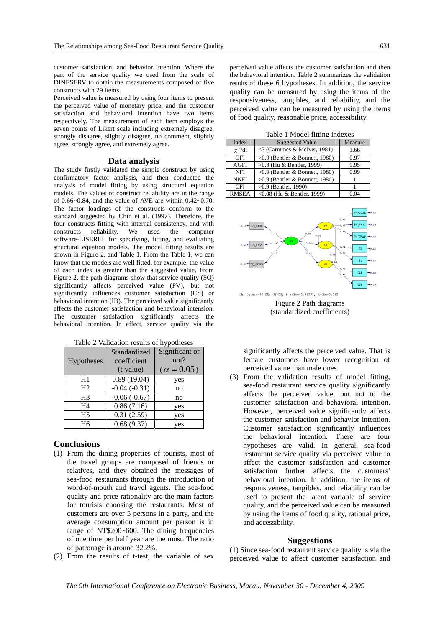customer satisfaction, and behavior intention. Where the part of the service quality we used from the scale of DINESERV to obtain the measurements composed of five constructs with 29 items.

Perceived value is measured by using four items to present the perceived value of monetary price, and the customer satisfaction and behavioral intention have two items respectively. The measurement of each item employs the seven points of Likert scale including extremely disagree, strongly disagree, slightly disagree, no comment, slightly agree, strongly agree, and extremely agree.

#### **Data analysis**

The study firstly validated the simple construct by using confirmatory factor analysis, and then conducted the analysis of model fitting by using structural equation models. The values of construct reliability are in the range of 0.66~0.84, and the value of AVE are within  $0.42 \sim 0.70$ . The factor loadings of the constructs conform to the standard suggested by Chin et al. (1997). Therefore, the four constructs fitting with internal consistency, and with constructs reliability. We used the computer software-LISEREL for specifying, fitting, and evaluating structural equation models. The model fitting results are shown in Figure 2, and Table 1. From the Table 1, we can know that the models are well fitted, for example, the value of each index is greater than the suggested value. From Figure 2, the path diagrams show that service quality (SQ) significantly affects perceived value (PV), but not significantly influences customer satisfaction (CS) or behavioral intention (IB). The perceived value significantly affects the customer satisfaction and behavioral intension. The customer satisfaction significantly affects the behavioral intention. In effect, service quality via the

| Table 2 Validation results of hypotheses |  |
|------------------------------------------|--|
|                                          |  |

| <b>Hypotheses</b> | Standardized<br>coefficient<br>$(t-value)$ | Significant or<br>not?<br>$(\alpha = 0.05)$ |
|-------------------|--------------------------------------------|---------------------------------------------|
| H1                | 0.89(19.04)                                | yes                                         |
| H <sub>2</sub>    | $-0.04(-0.31)$                             | no                                          |
| H <sub>3</sub>    | $-0.06(-0.67)$                             | no                                          |
| H <sub>4</sub>    | 0.86(7.16)                                 | yes                                         |
| H <sub>5</sub>    | 0.31(2.59)                                 | yes                                         |
| H <sub>6</sub>    | 0.68(9.37)                                 | ves                                         |

#### **Conclusions**

- (1) From the dining properties of tourists, most of the travel groups are composed of friends or relatives, and they obtained the messages of sea-food restaurants through the introduction of word-of-mouth and travel agents. The sea-food quality and price rationality are the main factors for tourists choosing the restaurants. Most of customers are over 5 persons in a party, and the average consumption amount per person is in range of NT\$200~600. The dining frequencies of one time per half year are the most. The ratio of patronage is around 32.2%.
- (2) From the results of t-test, the variable of sex

perceived value affects the customer satisfaction and then the behavioral intention. Table 2 summarizes the validation results of these 6 hypotheses. In addition, the service quality can be measured by using the items of the responsiveness, tangibles, and reliability, and the perceived value can be measured by using the items of food quality, reasonable price, accessibility.

Table 1 Model fitting indexes

| Index        | <b>Suggested Value</b>           | Measure |  |
|--------------|----------------------------------|---------|--|
| $\chi^2/df$  | <3 (Carmines & McIver, 1981)     | 1.66    |  |
| <b>GFI</b>   | $>0.9$ (Bentler & Bonnett, 1980) | 0.97    |  |
| <b>AGFI</b>  | $>0.8$ (Hu & Bentler, 1999)      | 0.95    |  |
| <b>NFI</b>   | $>0.9$ (Bentler & Bonnett, 1980) | 0.99    |  |
| <b>NNFI</b>  | $>0.9$ (Bentler & Bonnett, 1980) |         |  |
| <b>CFI</b>   | $>0.9$ (Bentler, 1990)           |         |  |
| <b>RMSEA</b> | <0.08 (Hu & Bentler, 1999)       |         |  |



Figure 2 Path diagrams (standardized coefficients)

significantly affects the perceived value. That is female customers have lower recognition of perceived value than male ones.

(3) From the validation results of model fitting, sea-food restaurant service quality significantly affects the perceived value, but not to the customer satisfaction and behavioral intention. However, perceived value significantly affects the customer satisfaction and behavior intention. Customer satisfaction significantly influences the behavioral intention. There are four hypotheses are valid. In general, sea-food restaurant service quality via perceived value to affect the customer satisfaction and customer satisfaction further affects the customers' behavioral intention. In addition, the items of responsiveness, tangibles, and reliability can be used to present the latent variable of service quality, and the perceived value can be measured by using the items of food quality, rational price, and accessibility.

#### **Suggestions**

(1) Since sea-food restaurant service quality is via the perceived value to affect customer satisfaction and

*The 9th International Conference on Electronic Business, Macau, November 30 - December 4, 2009*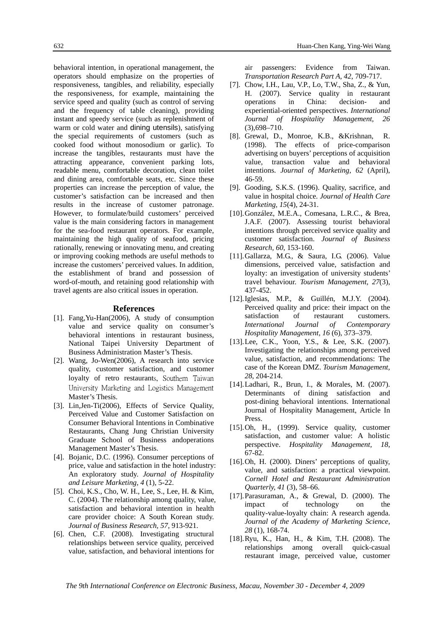behavioral intention, in operational management, the operators should emphasize on the properties of responsiveness, tangibles, and reliability, especially the responsiveness, for example, maintaining the service speed and quality (such as control of serving and the frequency of table cleaning), providing instant and speedy service (such as replenishment of warm or cold water and dining utensils), satisfying the special requirements of customers (such as cooked food without monosodium or garlic). To increase the tangibles, restaurants must have the attracting appearance, convenient parking lots, readable menu, comfortable decoration, clean toilet and dining area, comfortable seats, etc. Since these properties can increase the perception of value, the customer's satisfaction can be increased and then results in the increase of customer patronage. However, to formulate/build customers' perceived value is the main considering factors in management for the sea-food restaurant operators. For example, maintaining the high quality of seafood, pricing rationally, renewing or innovating menu, and creating or improving cooking methods are useful methods to increase the customers' perceived values. In addition, the establishment of brand and possession of word-of-mouth, and retaining good relationship with travel agents are also critical issues in operation.

#### **References**

- [1]. Fang,Yu-Han(2006), A study of consumption value and service quality on consumer's behavioral intentions in restaurant business, National Taipei University Department of Business Administration Master's Thesis.
- [2]. Wang, Jo-Wen(2006), A research into service quality, customer satisfaction, and customer loyalty of retro restaurants, Southern Taiwan University Marketing and Logistics Management Master's Thesis.
- [3]. Lin,Jen-Ti(2006), Effects of Service Quality, Perceived Value and Customer Satisfaction on Consumer Behavioral Intentions in Combinative Restaurants, Chang Jung Christian University Graduate School of Business andoperations Management Master's Thesis.
- [4]. Bojanic, D.C. (1996). Consumer perceptions of price, value and satisfaction in the hotel industry: An exploratory study. *Journal of Hospitality and Leisure Marketing, 4* (1), 5-22.
- [5]. Choi, K.S., Cho, W. H., Lee, S., Lee, H. & Kim, C. (2004). The relationship among quality, value, satisfaction and behavioral intention in health care provider choice: A South Korean study. *Journal of Business Research, 57*, 913-921.
- [6]. Chen, C.F. (2008). Investigating structural relationships between service quality, perceived value, satisfaction, and behavioral intentions for

air passengers: Evidence from Taiwan. *Transportation Research Part A, 42*, 709-717.

- [7]. Chow, I.H., Lau, V.P., Lo, T.W., Sha, Z., & Yun, H. (2007). Service quality in restaurant operations in China: decision- and experiential-oriented perspectives. *International Journal of Hospitality Management, 26* (3),698–710.
- [8]. Grewal, D., Monroe, K.B., &Krishnan, R. (1998). The effects of price-comparison advertising on buyers' perceptions of acquisition value, transaction value and behavioral intentions. *Journal of Marketing, 62* (April), 46-59.
- [9]. Gooding, S.K.S. (1996). Quality, sacrifice, and value in hospital choice. *Journal of Health Care Marketing, 15*(4), 24-31.
- [10].González, M.E.A., Comesana, L.R.C., & Brea, J.A.F. (2007). Assessing tourist behavioral intentions through perceived service quality and customer satisfaction. *Journal of Business Research, 60*, 153-160.
- [11].Gallarza, M.G., & Saura, I.G. (2006). Value dimensions, perceived value, satisfaction and loyalty: an investigation of university students' travel behaviour. *Tourism Management, 27*(3), 437-452.
- [12].Iglesias, M.P., & Guillén, M.J.Y. (2004). Perceived quality and price: their impact on the satisfaction of restaurant customers. *International Journal of Contemporary Hospitality Management, 16* (6), 373–379.
- [13].Lee, C.K., Yoon, Y.S., & Lee, S.K. (2007). Investigating the relationships among perceived value, satisfaction, and recommendations: The case of the Korean DMZ. *Tourism Management, 28*, 204-214.
- [14].Ladhari, R., Brun, I., & Morales, M. (2007). Determinants of dining satisfaction and post-dining behavioral intentions. International Journal of Hospitality Management, Article In Press.
- [15].Oh, H., (1999). Service quality, customer satisfaction, and customer value: A holistic perspective. *Hospitality Management, 18*, 67-82.
- [16].Oh, H. (2000). Diners' perceptions of quality, value, and satisfaction: a practical viewpoint. *Cornell Hotel and Restaurant Administration Quarterly, 41* (3), 58–66.
- [17].Parasuraman, A., & Grewal, D. (2000). The impact of technology on the quality-value-loyalty chain: A research agenda. *Journal of the Academy of Marketing Science, 28* (1), 168-74.
- [18].Ryu, K., Han, H., & Kim, T.H. (2008). The relationships among overall quick-casual restaurant image, perceived value, customer